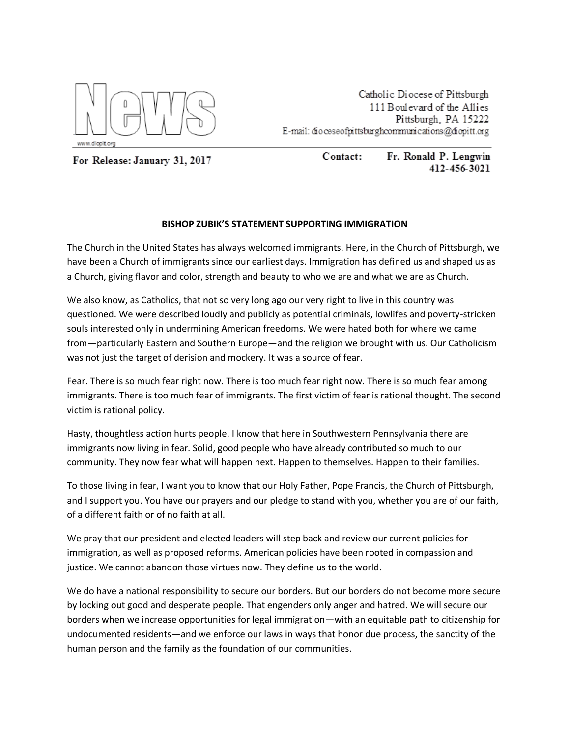

Catholic Diocese of Pittsburgh 111 Boulevard of the Allies Pittsburgh. PA 15222 E-mail: dio ceseofpittsburghcommunications@diopitt.org

For Release: January 31, 2017

Contact: Fr. Ronald P. Lengwin 412-456-3021

## **BISHOP ZUBIK'S STATEMENT SUPPORTING IMMIGRATION**

The Church in the United States has always welcomed immigrants. Here, in the Church of Pittsburgh, we have been a Church of immigrants since our earliest days. Immigration has defined us and shaped us as a Church, giving flavor and color, strength and beauty to who we are and what we are as Church.

We also know, as Catholics, that not so very long ago our very right to live in this country was questioned. We were described loudly and publicly as potential criminals, lowlifes and poverty-stricken souls interested only in undermining American freedoms. We were hated both for where we came from—particularly Eastern and Southern Europe—and the religion we brought with us. Our Catholicism was not just the target of derision and mockery. It was a source of fear.

Fear. There is so much fear right now. There is too much fear right now. There is so much fear among immigrants. There is too much fear of immigrants. The first victim of fear is rational thought. The second victim is rational policy.

Hasty, thoughtless action hurts people. I know that here in Southwestern Pennsylvania there are immigrants now living in fear. Solid, good people who have already contributed so much to our community. They now fear what will happen next. Happen to themselves. Happen to their families.

To those living in fear, I want you to know that our Holy Father, Pope Francis, the Church of Pittsburgh, and I support you. You have our prayers and our pledge to stand with you, whether you are of our faith, of a different faith or of no faith at all.

We pray that our president and elected leaders will step back and review our current policies for immigration, as well as proposed reforms. American policies have been rooted in compassion and justice. We cannot abandon those virtues now. They define us to the world.

We do have a national responsibility to secure our borders. But our borders do not become more secure by locking out good and desperate people. That engenders only anger and hatred. We will secure our borders when we increase opportunities for legal immigration—with an equitable path to citizenship for undocumented residents—and we enforce our laws in ways that honor due process, the sanctity of the human person and the family as the foundation of our communities.